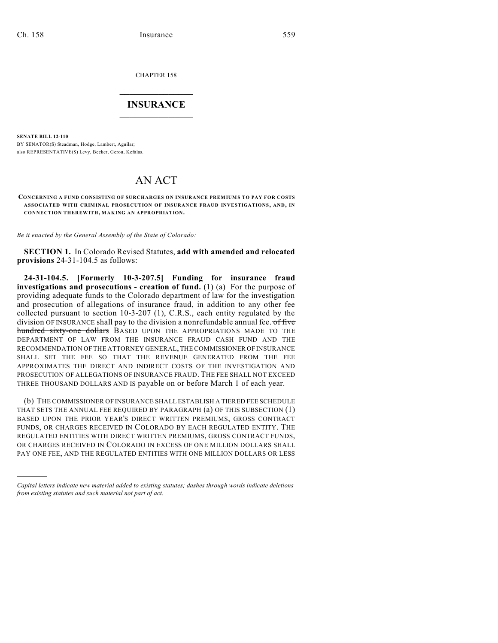)))))

CHAPTER 158

## $\mathcal{L}_\text{max}$  . The set of the set of the set of the set of the set of the set of the set of the set of the set of the set of the set of the set of the set of the set of the set of the set of the set of the set of the set **INSURANCE**  $\frac{1}{2}$  ,  $\frac{1}{2}$  ,  $\frac{1}{2}$  ,  $\frac{1}{2}$  ,  $\frac{1}{2}$  ,  $\frac{1}{2}$  ,  $\frac{1}{2}$

**SENATE BILL 12-110** BY SENATOR(S) Steadman, Hodge, Lambert, Aguilar; also REPRESENTATIVE(S) Levy, Becker, Gerou, Kefalas.

## AN ACT

**CONCERNING A FUND CONSISTING OF SURCHARGES ON INSURANCE PREMIUMS TO PAY FOR COSTS ASSOCIATED WITH CRIMINAL PROSECUTION OF INSURANCE FRAUD INVESTIGATIONS, AND, IN CONNECTION THEREWITH, MAKING AN APPROPRIATION.**

*Be it enacted by the General Assembly of the State of Colorado:*

**SECTION 1.** In Colorado Revised Statutes, **add with amended and relocated provisions** 24-31-104.5 as follows:

**24-31-104.5. [Formerly 10-3-207.5] Funding for insurance fraud investigations and prosecutions - creation of fund.** (1) (a) For the purpose of providing adequate funds to the Colorado department of law for the investigation and prosecution of allegations of insurance fraud, in addition to any other fee collected pursuant to section 10-3-207 (1), C.R.S., each entity regulated by the division OF INSURANCE shall pay to the division a nonrefundable annual fee. of five hundred sixty-one dollars BASED UPON THE APPROPRIATIONS MADE TO THE DEPARTMENT OF LAW FROM THE INSURANCE FRAUD CASH FUND AND THE RECOMMENDATION OF THE ATTORNEY GENERAL, THE COMMISSIONER OFINSURANCE SHALL SET THE FEE SO THAT THE REVENUE GENERATED FROM THE FEE APPROXIMATES THE DIRECT AND INDIRECT COSTS OF THE INVESTIGATION AND PROSECUTION OF ALLEGATIONS OF INSURANCE FRAUD. THE FEE SHALL NOT EXCEED THREE THOUSAND DOLLARS AND IS payable on or before March 1 of each year.

(b) THE COMMISSIONER OF INSURANCE SHALL ESTABLISH A TIERED FEE SCHEDULE THAT SETS THE ANNUAL FEE REQUIRED BY PARAGRAPH (a) OF THIS SUBSECTION (1) BASED UPON THE PRIOR YEAR'S DIRECT WRITTEN PREMIUMS, GROSS CONTRACT FUNDS, OR CHARGES RECEIVED IN COLORADO BY EACH REGULATED ENTITY. THE REGULATED ENTITIES WITH DIRECT WRITTEN PREMIUMS, GROSS CONTRACT FUNDS, OR CHARGES RECEIVED IN COLORADO IN EXCESS OF ONE MILLION DOLLARS SHALL PAY ONE FEE, AND THE REGULATED ENTITIES WITH ONE MILLION DOLLARS OR LESS

*Capital letters indicate new material added to existing statutes; dashes through words indicate deletions from existing statutes and such material not part of act.*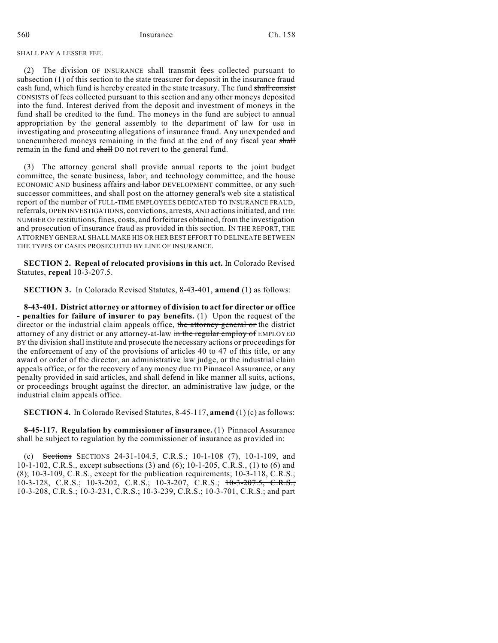## SHALL PAY A LESSER FEE.

(2) The division OF INSURANCE shall transmit fees collected pursuant to subsection (1) of this section to the state treasurer for deposit in the insurance fraud cash fund, which fund is hereby created in the state treasury. The fund shall consist CONSISTS of fees collected pursuant to this section and any other moneys deposited into the fund. Interest derived from the deposit and investment of moneys in the fund shall be credited to the fund. The moneys in the fund are subject to annual appropriation by the general assembly to the department of law for use in investigating and prosecuting allegations of insurance fraud. Any unexpended and unencumbered moneys remaining in the fund at the end of any fiscal year shall remain in the fund and shall DO not revert to the general fund.

(3) The attorney general shall provide annual reports to the joint budget committee, the senate business, labor, and technology committee, and the house ECONOMIC AND business affairs and labor DEVELOPMENT committee, or any such successor committees, and shall post on the attorney general's web site a statistical report of the number of FULL-TIME EMPLOYEES DEDICATED TO INSURANCE FRAUD, referrals, OPEN INVESTIGATIONS, convictions, arrests, AND actionsinitiated, and THE NUMBER OF restitutions,fines, costs, and forfeitures obtained, from the investigation and prosecution of insurance fraud as provided in this section. IN THE REPORT, THE ATTORNEY GENERAL SHALL MAKE HIS OR HER BEST EFFORT TO DELINEATE BETWEEN THE TYPES OF CASES PROSECUTED BY LINE OF INSURANCE.

**SECTION 2. Repeal of relocated provisions in this act.** In Colorado Revised Statutes, **repeal** 10-3-207.5.

**SECTION 3.** In Colorado Revised Statutes, 8-43-401, **amend** (1) as follows:

**8-43-401. District attorney or attorney of division to act for director or office - penalties for failure of insurer to pay benefits.** (1) Upon the request of the director or the industrial claim appeals office, the attorney general or the district attorney of any district or any attorney-at-law in the regular employ of EMPLOYED BY the division shall institute and prosecute the necessary actions or proceedingsfor the enforcement of any of the provisions of articles 40 to 47 of this title, or any award or order of the director, an administrative law judge, or the industrial claim appeals office, or for the recovery of any money due TO Pinnacol Assurance, or any penalty provided in said articles, and shall defend in like manner all suits, actions, or proceedings brought against the director, an administrative law judge, or the industrial claim appeals office.

**SECTION 4.** In Colorado Revised Statutes, 8-45-117, **amend** (1) (c) as follows:

**8-45-117. Regulation by commissioner of insurance.** (1) Pinnacol Assurance shall be subject to regulation by the commissioner of insurance as provided in:

(c) Sections SECTIONS 24-31-104.5, C.R.S.; 10-1-108 (7), 10-1-109, and 10-1-102, C.R.S., except subsections (3) and (6); 10-1-205, C.R.S., (1) to (6) and (8); 10-3-109, C.R.S., except for the publication requirements; 10-3-118, C.R.S.; 10-3-128, C.R.S.; 10-3-202, C.R.S.; 10-3-207, C.R.S.; 10-3-207.5, C.R.S.; 10-3-208, C.R.S.; 10-3-231, C.R.S.; 10-3-239, C.R.S.; 10-3-701, C.R.S.; and part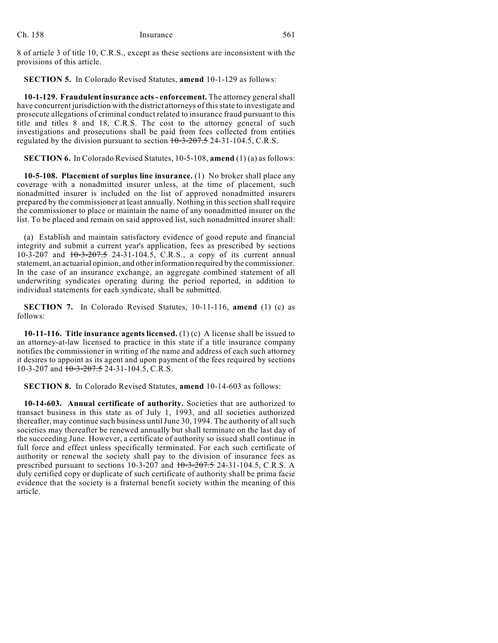8 of article 3 of title 10, C.R.S., except as these sections are inconsistent with the provisions of this article.

**SECTION 5.** In Colorado Revised Statutes, **amend** 10-1-129 as follows:

**10-1-129. Fraudulent insurance acts- enforcement.** The attorney generalshall have concurrent jurisdiction with the district attorneys of this state to investigate and prosecute allegations of criminal conduct related to insurance fraud pursuant to this title and titles 8 and 18, C.R.S. The cost to the attorney general of such investigations and prosecutions shall be paid from fees collected from entities regulated by the division pursuant to section  $10-3-207.5$  24-31-104.5, C.R.S.

**SECTION 6.** In Colorado Revised Statutes, 10-5-108, **amend** (1) (a) as follows:

**10-5-108. Placement of surplus line insurance.** (1) No broker shall place any coverage with a nonadmitted insurer unless, at the time of placement, such nonadmitted insurer is included on the list of approved nonadmitted insurers prepared by the commissioner at least annually. Nothing in this section shall require the commissioner to place or maintain the name of any nonadmitted insurer on the list. To be placed and remain on said approved list, such nonadmitted insurer shall:

(a) Establish and maintain satisfactory evidence of good repute and financial integrity and submit a current year's application, fees as prescribed by sections 10-3-207 and  $10-3-207.5$  24-31-104.5, C.R.S., a copy of its current annual statement, an actuarial opinion, and other information required by the commissioner. In the case of an insurance exchange, an aggregate combined statement of all underwriting syndicates operating during the period reported, in addition to individual statements for each syndicate, shall be submitted.

**SECTION 7.** In Colorado Revised Statutes, 10-11-116, **amend** (1) (c) as follows:

**10-11-116. Title insurance agents licensed.** (1) (c) A license shall be issued to an attorney-at-law licensed to practice in this state if a title insurance company notifies the commissioner in writing of the name and address of each such attorney it desires to appoint as its agent and upon payment of the fees required by sections 10-3-207 and  $10-3-207.5$  24-31-104.5, C.R.S.

**SECTION 8.** In Colorado Revised Statutes, **amend** 10-14-603 as follows:

**10-14-603. Annual certificate of authority.** Societies that are authorized to transact business in this state as of July 1, 1993, and all societies authorized thereafter, may continue such business until June 30, 1994. The authority of all such societies may thereafter be renewed annually but shall terminate on the last day of the succeeding June. However, a certificate of authority so issued shall continue in full force and effect unless specifically terminated. For each such certificate of authority or renewal the society shall pay to the division of insurance fees as prescribed pursuant to sections 10-3-207 and  $10-3-207-5$  24-31-104.5, C.R.S. A duly certified copy or duplicate of such certificate of authority shall be prima facie evidence that the society is a fraternal benefit society within the meaning of this article.